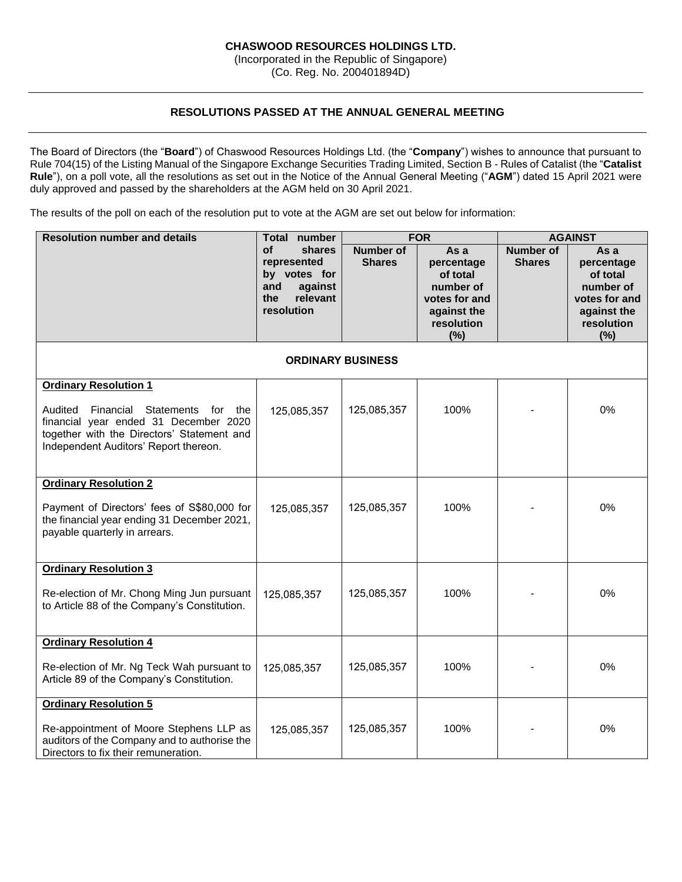# **CHASWOOD RESOURCES HOLDINGS LTD.**

(Incorporated in the Republic of Singapore) (Co. Reg. No. 200401894D)

## **RESOLUTIONS PASSED AT THE ANNUAL GENERAL MEETING**

The Board of Directors (the "**Board**") of Chaswood Resources Holdings Ltd. (the "**Company**") wishes to announce that pursuant to Rule 704(15) of the Listing Manual of the Singapore Exchange Securities Trading Limited, Section B - Rules of Catalist (the "**Catalist Rule**"), on a poll vote, all the resolutions as set out in the Notice of the Annual General Meeting ("**AGM**") dated 15 April 2021 were duly approved and passed by the shareholders at the AGM held on 30 April 2021.

The results of the poll on each of the resolution put to vote at the AGM are set out below for information:

| <b>Resolution number and details</b>                                                                                                                                    | Total number<br><b>FOR</b>                                                                            |                                   | <b>AGAINST</b>                                                                                   |                                   |                                                                                                  |  |  |
|-------------------------------------------------------------------------------------------------------------------------------------------------------------------------|-------------------------------------------------------------------------------------------------------|-----------------------------------|--------------------------------------------------------------------------------------------------|-----------------------------------|--------------------------------------------------------------------------------------------------|--|--|
|                                                                                                                                                                         | <b>of</b><br>shares<br>represented<br>by votes for<br>and<br>against<br>relevant<br>the<br>resolution | <b>Number of</b><br><b>Shares</b> | As a<br>percentage<br>of total<br>number of<br>votes for and<br>against the<br>resolution<br>(%) | <b>Number of</b><br><b>Shares</b> | As a<br>percentage<br>of total<br>number of<br>votes for and<br>against the<br>resolution<br>(%) |  |  |
| <b>ORDINARY BUSINESS</b>                                                                                                                                                |                                                                                                       |                                   |                                                                                                  |                                   |                                                                                                  |  |  |
| <b>Ordinary Resolution 1</b>                                                                                                                                            |                                                                                                       |                                   |                                                                                                  |                                   |                                                                                                  |  |  |
| Audited<br>Financial Statements for the<br>financial year ended 31 December 2020<br>together with the Directors' Statement and<br>Independent Auditors' Report thereon. | 125,085,357                                                                                           | 125,085,357                       | 100%                                                                                             |                                   | 0%                                                                                               |  |  |
| <b>Ordinary Resolution 2</b>                                                                                                                                            |                                                                                                       |                                   |                                                                                                  |                                   |                                                                                                  |  |  |
| Payment of Directors' fees of S\$80,000 for<br>the financial year ending 31 December 2021,<br>payable quarterly in arrears.                                             | 125,085,357                                                                                           | 125,085,357                       | 100%                                                                                             |                                   | 0%                                                                                               |  |  |
| <b>Ordinary Resolution 3</b>                                                                                                                                            |                                                                                                       |                                   |                                                                                                  |                                   |                                                                                                  |  |  |
| Re-election of Mr. Chong Ming Jun pursuant<br>to Article 88 of the Company's Constitution.                                                                              | 125,085,357                                                                                           | 125,085,357                       | 100%                                                                                             |                                   | 0%                                                                                               |  |  |
| <b>Ordinary Resolution 4</b>                                                                                                                                            |                                                                                                       |                                   |                                                                                                  |                                   |                                                                                                  |  |  |
| Re-election of Mr. Ng Teck Wah pursuant to<br>Article 89 of the Company's Constitution.                                                                                 | 125,085,357                                                                                           | 125,085,357                       | 100%                                                                                             |                                   | 0%                                                                                               |  |  |
| <b>Ordinary Resolution 5</b>                                                                                                                                            |                                                                                                       |                                   |                                                                                                  |                                   |                                                                                                  |  |  |
| Re-appointment of Moore Stephens LLP as<br>auditors of the Company and to authorise the<br>Directors to fix their remuneration.                                         | 125,085,357                                                                                           | 125,085,357                       | 100%                                                                                             |                                   | 0%                                                                                               |  |  |